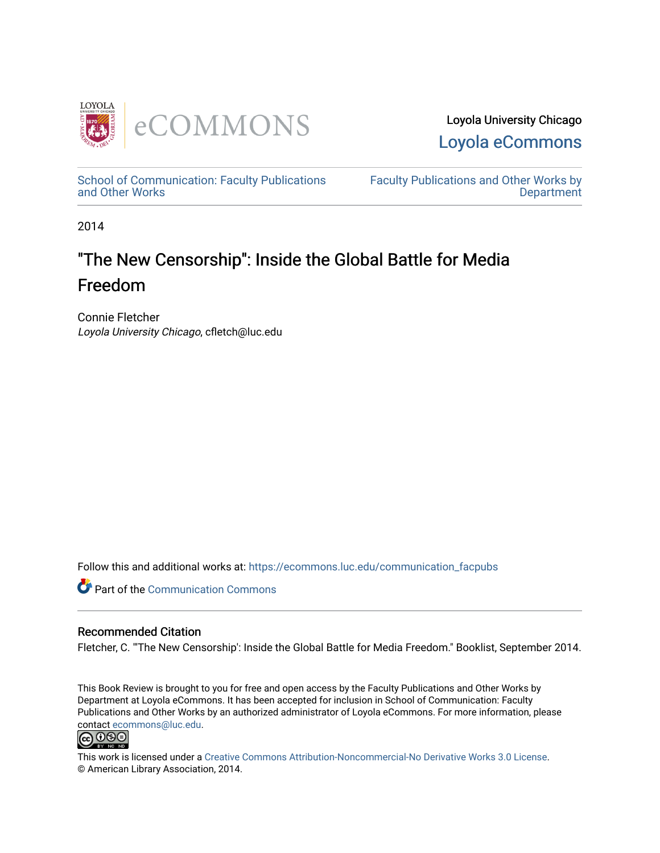

Loyola University Chicago [Loyola eCommons](https://ecommons.luc.edu/) 

[School of Communication: Faculty Publications](https://ecommons.luc.edu/communication_facpubs)  [and Other Works](https://ecommons.luc.edu/communication_facpubs)

[Faculty Publications and Other Works by](https://ecommons.luc.edu/faculty)  **Department** 

2014

# "The New Censorship": Inside the Global Battle for Media Freedom

Connie Fletcher Loyola University Chicago, cfletch@luc.edu

Follow this and additional works at: [https://ecommons.luc.edu/communication\\_facpubs](https://ecommons.luc.edu/communication_facpubs?utm_source=ecommons.luc.edu%2Fcommunication_facpubs%2F9&utm_medium=PDF&utm_campaign=PDFCoverPages)

Part of the [Communication Commons](http://network.bepress.com/hgg/discipline/325?utm_source=ecommons.luc.edu%2Fcommunication_facpubs%2F9&utm_medium=PDF&utm_campaign=PDFCoverPages) 

### Recommended Citation

Fletcher, C. "'The New Censorship': Inside the Global Battle for Media Freedom." Booklist, September 2014.

This Book Review is brought to you for free and open access by the Faculty Publications and Other Works by Department at Loyola eCommons. It has been accepted for inclusion in School of Communication: Faculty Publications and Other Works by an authorized administrator of Loyola eCommons. For more information, please contact [ecommons@luc.edu.](mailto:ecommons@luc.edu)<br>@099



This work is licensed under a [Creative Commons Attribution-Noncommercial-No Derivative Works 3.0 License.](https://creativecommons.org/licenses/by-nc-nd/3.0/) © American Library Association, 2014.